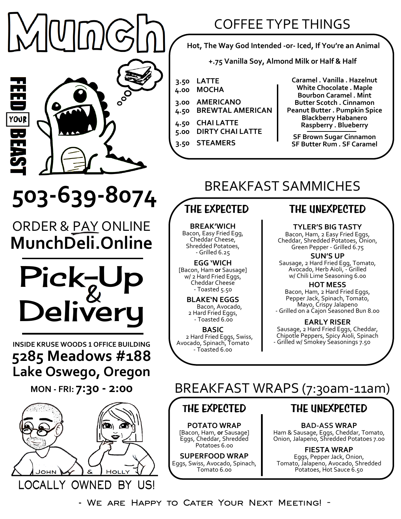$\overline{\phantom{a}}$ 

YOUR

## COFFEE TYPE THINGS

**Hot, The Way God Intended -or- Iced, If You're an Animal**

**+.75 Vanilla Soy, Almond Milk or Half & Half**

- **3.50 LATTE**
- **4.00 MOCHA**
- **3.00 4.50 AMERICANO BREWTAL AMERICAN**
	-
- **4.50 5.00 CHAI LATTE DIRTY CHAI LATTE**
- **3.50 STEAMERS**

**Caramel . Vanilla . Hazelnut White Chocolate . Maple Bourbon Caramel . Mint Butter Scotch . Cinnamon Peanut Butter . Pumpkin Spice Blackberry Habanero Raspberry . Blueberry**

**SF Brown Sugar Cinnamon SF Butter Rum . SF Caramel**

# BREAKFAST SAMMICHES

# **503-639-8074**

ORDER & PAY ONLINE **MunchDeli.Online**



**INSIDE KRUSE WOODS <sup>1</sup> OFFICE BUILDING 5285 Meadows #188 Lake Oswego, Oregon**

**MON - FRI: 7:30 - 2:00**



## **THE EXPECTED**

**BREAK'WICH** Bacon, Easy Fried Egg, Cheddar Cheese, Shredded Potatoes, - Grilled 6.25

**EGG 'WICH**  [Bacon, Ham **or** Sausage] w/ 2 Hard Fried Eggs, Cheddar Cheese - Toasted 5.50

> **BLAKE'N EGGS** Bacon, Avocado, 2 Hard Fried Eggs, - Toasted 6.00

**BASIC** 2 Hard Fried Eggs, Swiss, Avocado, Spinach, Tomato - Toasted 6.00

### **THE UNEXPECTED**

**TYLER'S BIG TASTY**

Bacon, Ham, 2 Easy Fried Eggs, Cheddar, Shredded Potatoes, Onion, Green Pepper - Grilled 6.75

**SUN'S UP** Sausage, 2 Hard Fried Egg, Tomato, Avocado, Herb Aioli, - Grilled w/ Chili Lime Seasoning 6.00

**HOT MESS** Bacon, Ham, 2 Hard Fried Eggs, Pepper Jack, Spinach, Tomato, Mayo, Crispy Jalapeno - Grilled on a Cajon Seasoned Bun 8.00

**EARLY RISER**  Sausage, 2 Hard Fried Eggs, Cheddar, Chipotle Peppers, Spicy Aioli, Spinach - Grilled w/ Smokey Seasonings 7.50

## BREAKFAST WRAPS (7:30am-11am)

#### **THE EXPECTED**

**POTATO WRAP** [Bacon, Ham, **or** Sausage] Eggs, Cheddar, Shredded Potatoes 6.00

**SUPERFOOD WRAP** Eggs, Swiss, Avocado, Spinach, Tomato 6.00

## **THE UNEXPECTED**

**BAD-ASS WRAP** Ham & Sausage, Eggs, Cheddar, Tomato, Onion, Jalapeno, Shredded Potatoes 7.00

**FIESTA WRAP**  Eggs, Pepper Jack, Onion, Tomato, Jalapeno, Avocado, Shredded Potatoes, Hot Sauce 6.50

**- We are Happy to Cater Your Next Meeting! -**